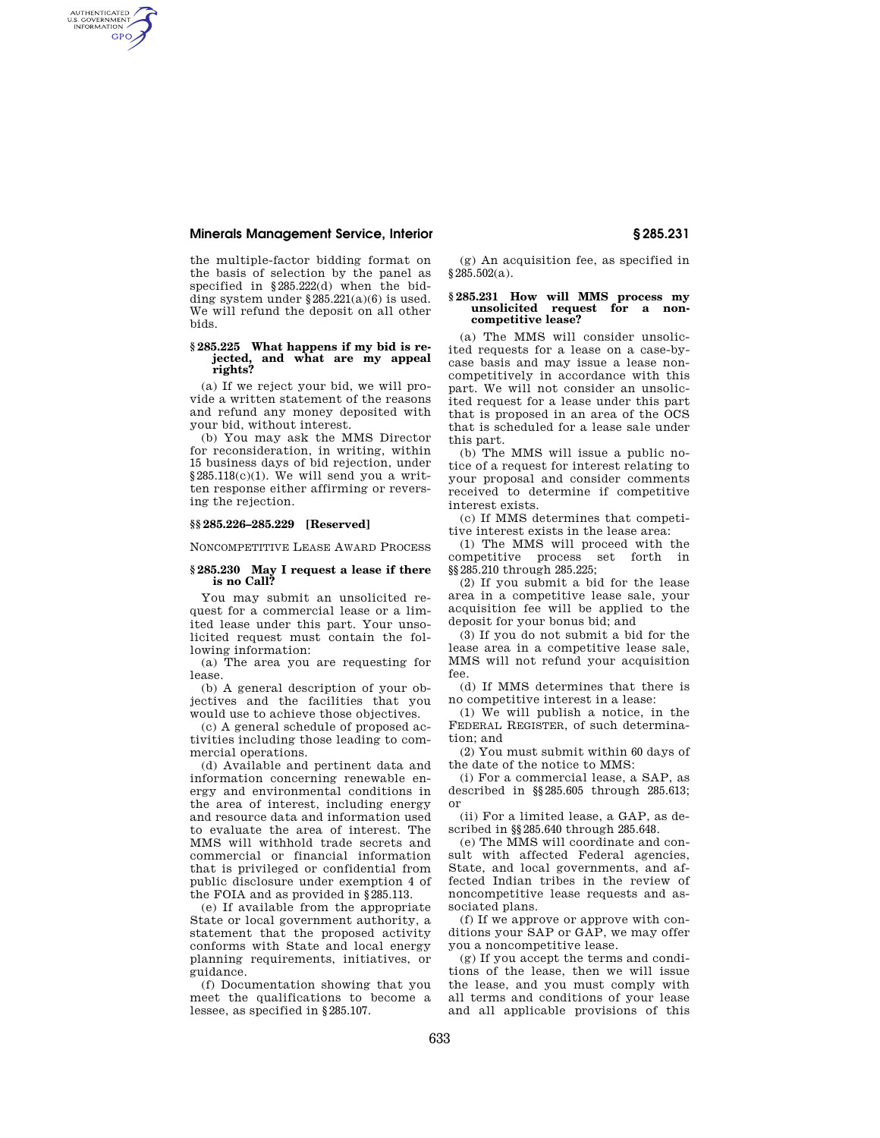## **Minerals Management Service, Interior § 285.231**

AUTHENTICATED<br>U.S. GOVERNMENT<br>INFORMATION **GPO** 

> the multiple-factor bidding format on the basis of selection by the panel as specified in §285.222(d) when the bidding system under  $§ 285.221(a)(6)$  is used. We will refund the deposit on all other bids.

### **§ 285.225 What happens if my bid is rejected, and what are my appeal rights?**

(a) If we reject your bid, we will provide a written statement of the reasons and refund any money deposited with your bid, without interest.

(b) You may ask the MMS Director for reconsideration, in writing, within 15 business days of bid rejection, under  $§285.118(c)(1)$ . We will send you a written response either affirming or reversing the rejection.

# **§§ 285.226–285.229 [Reserved]**

NONCOMPETITIVE LEASE AWARD PROCESS

## **§ 285.230 May I request a lease if there is no Call?**

You may submit an unsolicited request for a commercial lease or a limited lease under this part. Your unsolicited request must contain the following information:

(a) The area you are requesting for lease.

(b) A general description of your objectives and the facilities that you would use to achieve those objectives.

(c) A general schedule of proposed activities including those leading to commercial operations.

(d) Available and pertinent data and information concerning renewable energy and environmental conditions in the area of interest, including energy and resource data and information used to evaluate the area of interest. The MMS will withhold trade secrets and commercial or financial information that is privileged or confidential from public disclosure under exemption 4 of the FOIA and as provided in §285.113.

(e) If available from the appropriate State or local government authority, a statement that the proposed activity conforms with State and local energy planning requirements, initiatives, or guidance.

(f) Documentation showing that you meet the qualifications to become a lessee, as specified in §285.107.

(g) An acquisition fee, as specified in §285.502(a).

### **§ 285.231 How will MMS process my unsolicited request for a noncompetitive lease?**

(a) The MMS will consider unsolicited requests for a lease on a case-bycase basis and may issue a lease noncompetitively in accordance with this part. We will not consider an unsolicited request for a lease under this part that is proposed in an area of the OCS that is scheduled for a lease sale under this part.

(b) The MMS will issue a public notice of a request for interest relating to your proposal and consider comments received to determine if competitive interest exists.

(c) If MMS determines that competitive interest exists in the lease area:

(1) The MMS will proceed with the competitive process set forth in §§285.210 through 285.225;

(2) If you submit a bid for the lease area in a competitive lease sale, your acquisition fee will be applied to the deposit for your bonus bid; and

(3) If you do not submit a bid for the lease area in a competitive lease sale, MMS will not refund your acquisition fee.

(d) If MMS determines that there is no competitive interest in a lease:

(1) We will publish a notice, in the FEDERAL REGISTER, of such determination; and

(2) You must submit within 60 days of the date of the notice to MMS:

(i) For a commercial lease, a SAP, as described in §§285.605 through 285.613; or

(ii) For a limited lease, a GAP, as described in §§285.640 through 285.648.

(e) The MMS will coordinate and consult with affected Federal agencies, State, and local governments, and affected Indian tribes in the review of noncompetitive lease requests and associated plans.

(f) If we approve or approve with conditions your SAP or GAP, we may offer you a noncompetitive lease.

(g) If you accept the terms and conditions of the lease, then we will issue the lease, and you must comply with all terms and conditions of your lease and all applicable provisions of this